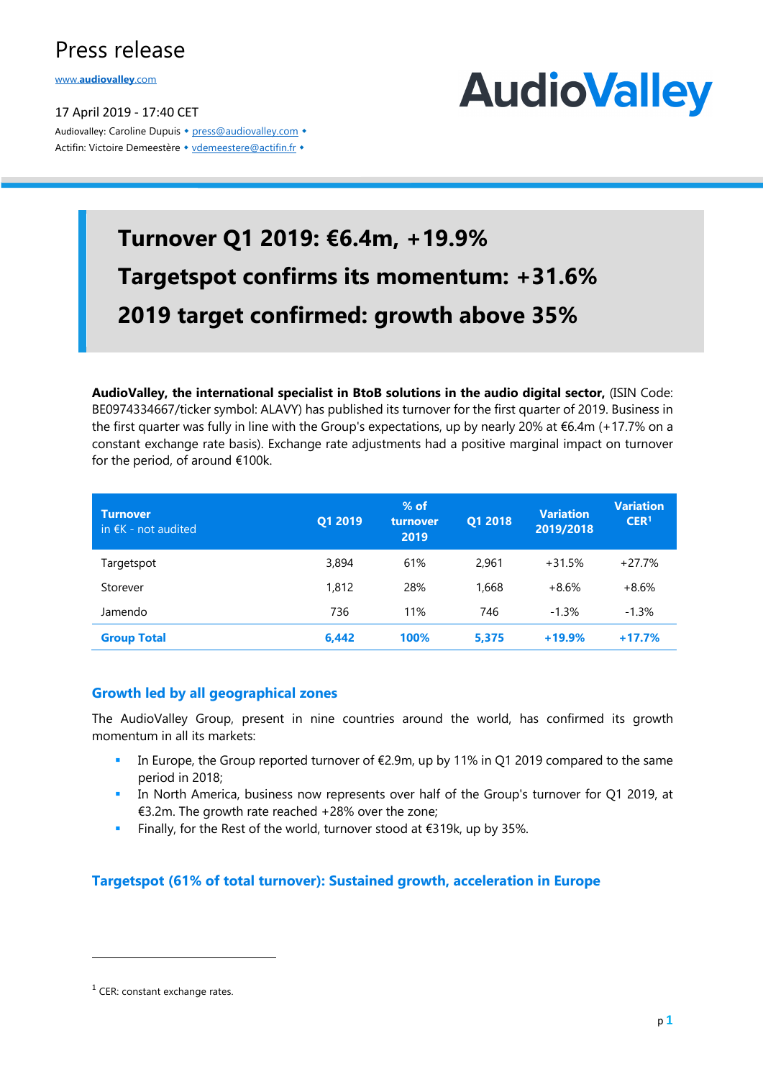## Press release

www.**audiovalley**.com

17 April 2019 - 17:40 CET Audiovalley: Caroline Dupuis • press@audiovalley.com • Actifin: Victoire Demeestère • vdemeestere@actifin.fr •



## **Turnover Q1 2019: €6.4m, +19.9% Targetspot confirms its momentum: +31.6% 2019 target confirmed: growth above 35%**

**AudioValley, the international specialist in BtoB solutions in the audio digital sector,** (ISIN Code: BE0974334667/ticker symbol: ALAVY) has published its turnover for the first quarter of 2019. Business in the first quarter was fully in line with the Group's expectations, up by nearly 20% at €6.4m (+17.7% on a constant exchange rate basis). Exchange rate adjustments had a positive marginal impact on turnover for the period, of around €100k.

| <b>Turnover</b><br>in $\epsilon$ K - not audited | Q1 2019 | $%$ of<br>turnover<br>2019 | Q1 2018 | <b>Variation</b><br>2019/2018 | <b>Variation</b><br>CER <sup>1</sup> |
|--------------------------------------------------|---------|----------------------------|---------|-------------------------------|--------------------------------------|
| Targetspot                                       | 3,894   | 61%                        | 2.961   | $+31.5%$                      | $+27.7%$                             |
| Storever                                         | 1,812   | 28%                        | 1,668   | $+8.6%$                       | $+8.6%$                              |
| Jamendo                                          | 736     | 11%                        | 746     | $-1.3%$                       | $-1.3%$                              |
| <b>Group Total</b>                               | 6,442   | 100%                       | 5,375   | $+19.9%$                      | $+17.7%$                             |

#### **Growth led by all geographical zones**

The AudioValley Group, present in nine countries around the world, has confirmed its growth momentum in all its markets:

- In Europe, the Group reported turnover of  $\epsilon$ 2.9m, up by 11% in Q1 2019 compared to the same period in 2018;
- In North America, business now represents over half of the Group's turnover for Q1 2019, at €3.2m. The growth rate reached +28% over the zone;
- **Finally, for the Rest of the world, turnover stood at**  $\epsilon$ **319k, up by 35%.**

#### **Targetspot (61% of total turnover): Sustained growth, acceleration in Europe**

 $\overline{a}$ 

<sup>1</sup> CER: constant exchange rates.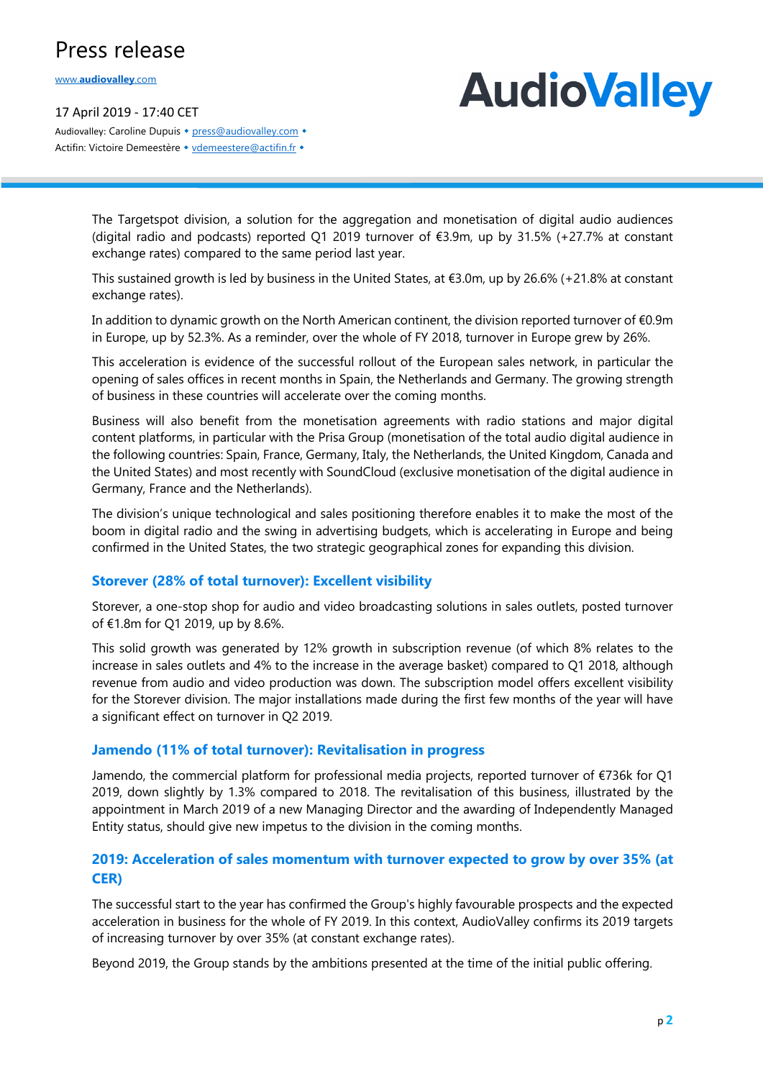## Press release

www.**audiovalley**.com

17 April 2019 - 17:40 CET Audiovalley: Caroline Dupuis • press@audiovalley.com • Actifin: Victoire Demeestère • vdemeestere@actifin.fr •

# **AudioValley**

The Targetspot division, a solution for the aggregation and monetisation of digital audio audiences (digital radio and podcasts) reported Q1 2019 turnover of €3.9m, up by 31.5% (+27.7% at constant exchange rates) compared to the same period last year.

This sustained growth is led by business in the United States, at €3.0m, up by 26.6% (+21.8% at constant exchange rates).

In addition to dynamic growth on the North American continent, the division reported turnover of €0.9m in Europe, up by 52.3%. As a reminder, over the whole of FY 2018, turnover in Europe grew by 26%.

This acceleration is evidence of the successful rollout of the European sales network, in particular the opening of sales offices in recent months in Spain, the Netherlands and Germany. The growing strength of business in these countries will accelerate over the coming months.

Business will also benefit from the monetisation agreements with radio stations and major digital content platforms, in particular with the Prisa Group (monetisation of the total audio digital audience in the following countries: Spain, France, Germany, Italy, the Netherlands, the United Kingdom, Canada and the United States) and most recently with SoundCloud (exclusive monetisation of the digital audience in Germany, France and the Netherlands).

The division's unique technological and sales positioning therefore enables it to make the most of the boom in digital radio and the swing in advertising budgets, which is accelerating in Europe and being confirmed in the United States, the two strategic geographical zones for expanding this division.

#### **Storever (28% of total turnover): Excellent visibility**

Storever, a one-stop shop for audio and video broadcasting solutions in sales outlets, posted turnover of €1.8m for Q1 2019, up by 8.6%.

This solid growth was generated by 12% growth in subscription revenue (of which 8% relates to the increase in sales outlets and 4% to the increase in the average basket) compared to Q1 2018, although revenue from audio and video production was down. The subscription model offers excellent visibility for the Storever division. The major installations made during the first few months of the year will have a significant effect on turnover in Q2 2019.

#### **Jamendo (11% of total turnover): Revitalisation in progress**

Jamendo, the commercial platform for professional media projects, reported turnover of €736k for Q1 2019, down slightly by 1.3% compared to 2018. The revitalisation of this business, illustrated by the appointment in March 2019 of a new Managing Director and the awarding of Independently Managed Entity status, should give new impetus to the division in the coming months.

#### **2019: Acceleration of sales momentum with turnover expected to grow by over 35% (at CER)**

The successful start to the year has confirmed the Group's highly favourable prospects and the expected acceleration in business for the whole of FY 2019. In this context, AudioValley confirms its 2019 targets of increasing turnover by over 35% (at constant exchange rates).

Beyond 2019, the Group stands by the ambitions presented at the time of the initial public offering.